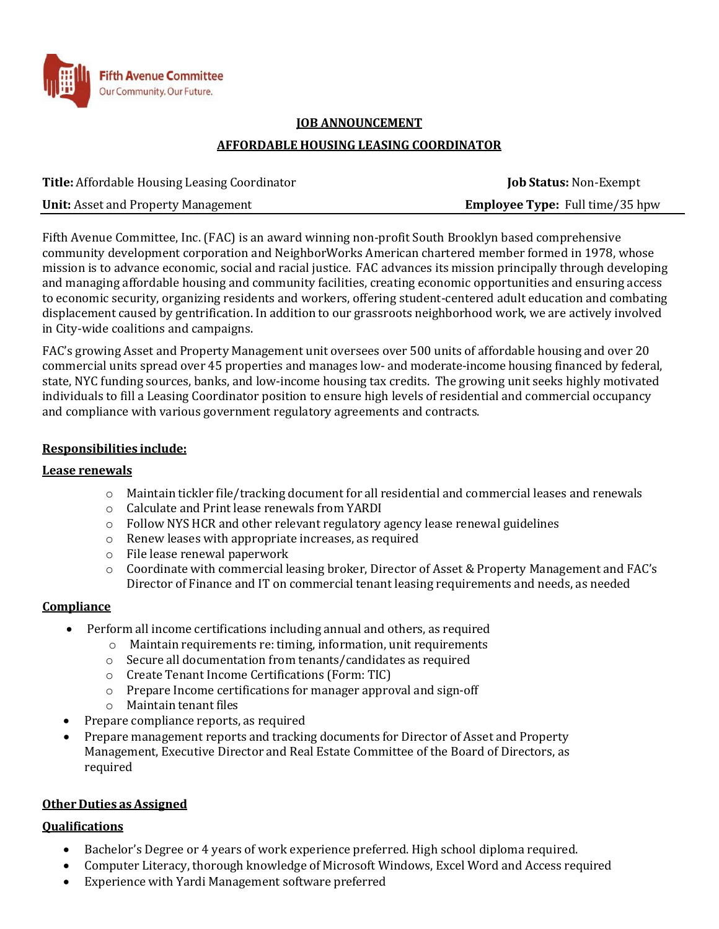

# **JOB ANNOUNCEMENT AFFORDABLE HOUSING LEASING COORDINATOR**

| <b>Title:</b> Affordable Housing Leasing Coordinator | <b>Job Status: Non-Exempt</b>          |
|------------------------------------------------------|----------------------------------------|
| <b>Unit:</b> Asset and Property Management           | <b>Employee Type:</b> Full time/35 hpw |

Fifth Avenue Committee, Inc. (FAC) is an award winning non-profit South Brooklyn based comprehensive community development corporation and NeighborWorks American chartered member formed in 1978, whose mission is to advance economic, social and racial justice. FAC advances its mission principally through developing and managing affordable housing and community facilities, creating economic opportunities and ensuring access to economic security, organizing residents and workers, offering student-centered adult education and combating displacement caused by gentrification. In addition to our grassroots neighborhood work, we are actively involved in City-wide coalitions and campaigns.

FAC's growing Asset and Property Management unit oversees over 500 units of affordable housing and over 20 commercial units spread over 45 properties and manages low- and moderate-income housing financed by federal, state, NYC funding sources, banks, and low-income housing tax credits. The growing unit seeks highly motivated individuals to fill a Leasing Coordinator position to ensure high levels of residential and commercial occupancy and compliance with various government regulatory agreements and contracts.

# **Responsibilities include:**

#### **Lease renewals**

- $\circ$  Maintain tickler file/tracking document for all residential and commercial leases and renewals
- o Calculate and Print lease renewals from YARDI
- $\circ$  Follow NYS HCR and other relevant regulatory agency lease renewal guidelines
- o Renew leases with appropriate increases, as required
- o File lease renewal paperwork
- o Coordinate with commercial leasing broker, Director of Asset & Property Management and FAC's Director of Finance and IT on commercial tenant leasing requirements and needs, as needed

# **Compliance**

- Perform all income certifications including annual and others, as required
	- o Maintain requirements re: timing, information, unit requirements
	- o Secure all documentation from tenants/candidates as required
	- o Create Tenant Income Certifications (Form: TIC)
	- o Prepare Income certifications for manager approval and sign-off
	- o Maintain tenant files
- Prepare compliance reports, as required
- Prepare management reports and tracking documents for Director of Asset and Property Management, Executive Director and Real Estate Committee of the Board of Directors, as required

#### **Other Duties as Assigned**

#### **Qualifications**

- Bachelor's Degree or 4 years of work experience preferred. High school diploma required.
- Computer Literacy, thorough knowledge of Microsoft Windows, Excel Word and Access required
- Experience with Yardi Management software preferred